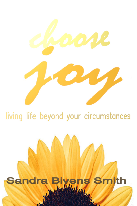

# living life beyond your circumstances

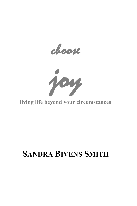choose



## **living life beyond your circumstances**

## **SANDRA BIVENS SMITH**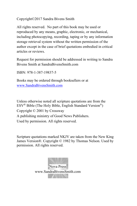Copyright©2017 Sandra Bivens Smith

All rights reserved. No part of this book may be used or reproduced by any means, graphic, electronic, or mechanical, including photocopying, recording, taping or by any information storage retrieval system without the written permission of the author except in the case of brief quotations embodied in critical articles or reviews.

Request for permission should be addressed in writing to Sandra Bivens Smith at SandraBivensSmith.com

ISBN: 978-1-387-19837-5

Books may be ordered through booksellers or at [www.SandraBivensSmith.com](http://www.sandrabivenssmith.com/)

Unless otherwise noted all scripture quotations are from the ESV® Bible (The Holy Bible, English Standard Version®) Copyright © 2001 by Crossway A publishing ministry of Good News Publishers. Used by permission. All rights reserved.

Scripture quotations marked NKJV are taken from the New King James Version®. Copyright © 1982 by Thomas Nelson. Used by permission. All rights reserved.

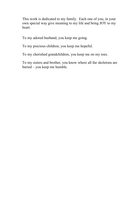This work is dedicated to my family. Each one of you, in your own special way give meaning to my life and bring JOY to my heart.

To my adored husband, you keep me going.

To my precious children, you keep me hopeful.

To my cherished grandchildren, you keep me on my toes.

To my sisters and brother, you know where all the skeletons are buried – you keep me humble.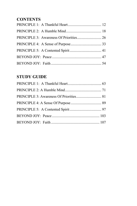## **CONTENTS**

## **STUDY GUIDE**

| PRINCIPLE 3: Awareness Of Priorities 81 |  |
|-----------------------------------------|--|
|                                         |  |
|                                         |  |
|                                         |  |
|                                         |  |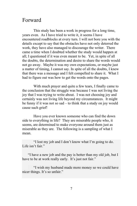### Forward

This study has been a work in progress for a long time, years even. As I have tried to write it, it seems I have encountered roadblocks at every turn. I will not bore you with the details except to say that the obstacles have not only deterred the work, they have also managed to discourage the writer. There came a time when I doubted whether the study would happen at all; I questioned if it was even meant to be. Yet, in spite of all the doubts, the determination and desire to share the words would not go away. Maybe it was my own expectations, or maybe just a matter of timing, I cannot say. In spite of all the doubts, I knew that there was a message and I felt compelled to share it. What I had to figure out was how to get the words onto the pages.

With much prayer and quite a few tears, I finally came to the conclusion that the struggle was because I was not living the joy that I was trying to write about. I was not choosing joy and certainly was not living life beyond my circumstances. It might be funny if it was not so sad – to think that a study on joy would cause such grief!

Have you ever known someone who can find the down side to everything in life? They are miserable people who, it seems, are determined to make everyone around them just as miserable as they are. The following is a sampling of what I mean.

"I lost my job and I don't know what I'm going to do. Life isn't fair."

"I have a new job and the pay is better than my old job, but I have to be at work really early. It's just not fair."

"I wish my husband made more money so we could have nicer things. It's so unfair."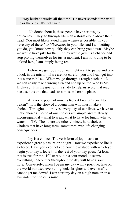"My husband works all the time. He never spends time with me or the kids. It's not fair."

No doubt about it, these people have serious joy deficiency. They go through life with a storm cloud above their head. You most likely avoid them whenever possible. If you have any of these *Les Miserables* in your life, and I am betting you do, you know how quickly they can bring you down. Maybe we would have pity for them if they would give us a chance and stop pitying themselves for just a moment. I am not trying to be unkind here, I am simply being real.

Before we get too smug, we might want to pause and take a look in the mirror. If we are not careful, you and I can get into that same mindset. When we go through a rough patch in life, we can easily take a wrong turn and end up on the Woe Is Me Highway. It is the goal of this study to help us avoid that road because it is one that leads to a most miserable place.

A favorite poem of mine is Robert Frost's "Road Not Taken". It is the story of a young man who must make a choice. Throughout our lives, every day of our lives, we have to make choices. Some of our choices are simple and relatively inconsequential – what to wear, what to have for lunch, what to watch on TV. Then there are other choices, hard choices. Choices that have long-term, sometimes even life changing consequences.

Joy is a choice. The verb form of joy means to experience great pleasure or delight. How we experience life is a choice. Have you ever noticed how the attitude with which you begin your day affects how the rest of your day goes? At least that is true for me. If I start out in a sour mood, it seems everything I encounter throughout the day will have a sour note. Conversely, when I begin my day with a positive, take on the world mindset, everything looks brighter and even traffic cannot get me down! I can start my day on a high note or on a low note, the choice is mine.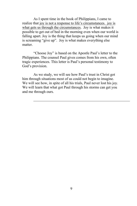As I spent time in the book of Philippians, I came to realize that joy is not a response to life's circumstances. joy is what gets us through the circumstances. Joy is what makes it possible to get out of bed in the morning even when our world is falling apart. Joy is the thing that keeps us going when our mind is screaming "give up". Joy is what makes everything else matter.

"Choose Joy" is based on the Apostle Paul's letter to the Philippians. The counsel Paul gives comes from his own, often tragic experiences. This letter is Paul's personal testimony to God's provision.

As we study, we will see how Paul's trust in Christ got him through situations most of us could not begin to imagine. We will see how, in spite of all his trials, Paul never lost his joy. We will learn that what got Paul through his storms can get you and me through ours.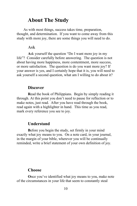### **About The Study**

As with most things, success takes time, preparation, thought, and determination. If you want to come away from this study with more joy, there are some things you will need to do.

#### **Ask**

**A**sk yourself the question "Do I want more joy in my life"? Consider carefully before answering. The question is not about having more happiness, more contentment, more success, or more satisfaction. The question is do you want more joy? If your answer is yes, and I certainly hope that it is, you will need to ask yourself a second question, what am I willing to do about it?

#### **Discover**

**R**ead the book of Philippians. Begin by simply reading it through. At this point you don't need to pause for reflection or to make notes, just read. After you have read through the book, read again with a highlighter in hand. This time as you read, mark every reference you see to joy.

#### **Understand**

**B**efore you begin the study, set firmly in your mind exactly what joy means to you. On a note card, in your journal, in the margin of your bible, wherever you will be continually reminded, write a brief statement of your own definition of joy.

#### **Choose**

**O**nce you've identified what joy means to you, make note of the circumstances in your life that seem to constantly steal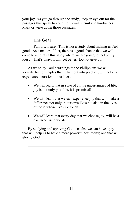your joy. As you go through the study, keep an eye out for the passages that speak to your individual pursuit and hindrances. Mark or write down those passages.

#### **The Goal**

**F**ull disclosure. This is not a study about making us feel good. As a matter of fact, there is a good chance that we will come to a point in this study where we are going to feel pretty lousy. That's okay, it will get better. Do not give up.

As we study Paul's writings to the Philippians we will identify five principles that, when put into practice, will help us experience more joy in our lives.

- We will learn that in spite of all the uncertainties of life, joy is not only possible, it is promised!
- We will learn that we can experience joy that will make a difference not only in our own lives but also in the lives of those whose lives we touch.
- We will learn that every day that we choose joy, will be a day lived victoriously.

By studying and applying God's truths, we can have a joy that will help us to have a more powerful testimony; one that will glorify God.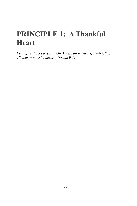## <span id="page-11-0"></span>**PRINCIPLE 1: A Thankful Heart**

*I will give thanks to you, LORD, with all my heart; I will tell of all your wonderful deeds. (Psalm 9:1)*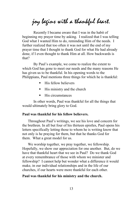## joy begins with a thankful heart.

Recently I became aware that I was in the habit of beginning my prayer time by asking. I realized that I was telling God what I wanted Him to do, reminding Him of the needs. I further realized that too often it was not until the end of my prayer time that I thought to thank God for what He had already done, if I even thought to thank Him at all. How backwards is that?

By Paul's example, we come to realize the extent to which God has gone to meet our needs and the many reasons He has given us to be thankful. In his opening words to the Philippians, Paul mentions three things for which he is thankful:

- His fellow believers
- His ministry and the church
- His circumstances

In other words, Paul was thankful for all the things that would ultimately bring glory to God.

#### **Paul was thankful for his fellow believers.**

Throughout Paul's writings, we see his love and concern for the brethren. In all but four of his thirteen epistles, Paul opens his letters specifically letting those to whom he is writing know that not only is he praying for them, but that he thanks God for them. What a great model for us.

We worship together, we pray together, we fellowship. Hopefully, we show our appreciation for one another. But, do we have that thankful heart that we see in Paul? Do we thank God at every remembrance of those with whom we minister and fellowship? I cannot help but wonder what a difference it would make, in our individual relationships and in the life of our churches, if our hearts were more thankful for each other.

#### **Paul was thankful for his ministry and the church.**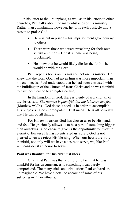In his letter to the Philippians, as well as in his letters to other churches, Paul talks about the many obstacles of his ministry. Rather than complaining however, he turns each obstacle into a reason to praise God.

- He was put in prison his imprisonment gave courage to others.
- There were those who were preaching for their own selfish ambition – Christ's name was being proclaimed.
- He knew that he would likely die for the faith he would be with the Lord.

Paul kept his focus on his mission not on his misery. He knew that the work God had given him was more important than his own needs. Paul understood that he had been entrusted with the building up of the Church of Jesus Christ and he was thankful to have been called to so high a calling.

In the kingdom of God, there is plenty of work for all of us. Jesus said, *The harvest is plentiful, but the laborers are few* (Matthew 9:37b). God doesn't need us in order to accomplish His purposes. God is omnipotent. That means He is all powerful, that He can do all things.

For His own reasons God has chosen us to be His hands and feet. He graciously allows us to be a part of something bigger than ourselves. God chose to give us the opportunity to invest in eternity. Because He has so entrusted us, surely God is not pleased when we reject His blessing. When our hearts are truly thankful, not only will we have a desire to serve, we, like Paul will consider it an honor to serve.

#### **Paul was thankful for his circumstances.**

Of all that Paul was thankful for, the fact that he was thankful for his circumstances is something I can barely comprehend. The many trials and tribulations Paul endured are unimaginable. We have a detailed account of some of his suffering in 2 Corinthians.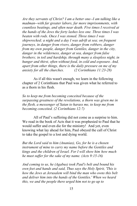*Are they servants of Christ? I am a better one--I am talking like a madman--with far greater labors, far more imprisonments, with countless beatings, and often near death. Five times I received at the hands of the Jews the forty lashes less one. Three times I was beaten with rods. Once I was stoned. Three times I was shipwrecked; a night and a day I was adrift at sea; on frequent journeys, in danger from rivers, danger from robbers, danger from my own people, danger from Gentiles, danger in the city, danger in the wilderness, danger at sea, danger from false brothers; in toil and hardship, through many a sleepless night, in hunger and thirst, often without food, in cold and exposure. And, apart from other things, there is the daily pressure on me of my anxiety for all the churches. (2 Corinthians 11:23-28)*

As if all this wasn't enough, we learn in the following chapter of 2 Corinthians that Paul was given what he referred to as a thorn in his flesh.

*So to keep me from becoming conceited because of the surpassing greatness of the revelations, a thorn was given me in the flesh, a messenger of Satan to harass me, to keep me from becoming conceited. (2 Corinthians 12:7)*

All of Paul's suffering did not come as a surprise to him. We read in the book of Acts that it was prophesied to Paul that he would suffer and even die for the ministry! And yet, even knowing what lay ahead for him, Paul obeyed the call of Christ to take the gospel to a lost and dying world.

*But the Lord said to him (Ananias), Go, for he is a chosen instrument of mine to carry my name before the Gentiles and kings and the children of Israel. For I will show him how much he must suffer for the sake of my name. (Acts 9:15-16)*

*And coming to us, he (Agabus) took Paul's belt and bound his own feet and hands and said, Thus says the Holy Spirit, 'This is how the Jews at Jerusalem will bind the man who owns this belt and deliver him into the hands of the Gentiles.' When we heard this, we and the people there urged him not to go up to*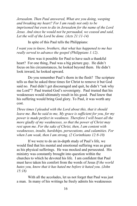*Jerusalem. Then Paul answered, What are you doing, weeping and breaking my heart? For I am ready not only to be imprisoned but even to die in Jerusalem for the name of the Lord Jesus. And since he would not be persuaded, we ceased and said, Let the will of the Lord be done. (Acts 21:11-14)*

In spite of this Paul tells the Philippians:

*I want you to know, brothers, that what has happened to me has really served to advance the gospel (Philippians 1:12)*.

How was it possible for Paul to have such a thankful heart? For one thing, Paul was a big picture guy. He didn't focus on his circumstances, he looked beyond them. He didn't look inward, he looked upward.

Do you remember Paul's thorn in the flesh? The scripture tells us that he asked three times for Christ to remove it but God said no. Paul didn't get discouraged and quit, he didn't "ask why me Lord"? Paul trusted God's sovereignty. Paul trusted that his weaknesses would ultimately result in his good. Paul knew that his suffering would bring God glory. To Paul, it was worth any cost.

*Three times I pleaded with the Lord about this, that it should leave me. But he said to me, My grace is sufficient for you, for my power is made perfect in weakness. Therefore I will boast all the more gladly of my weaknesses, so that the power of Christ may rest upon me. For the sake of Christ, then, I am content with weaknesses, insults, hardships, persecutions, and calamities. For when I am weak, then I am strong. (2 Corinthians 12:8-10)*

If we were to do an in-depth study of Paul's life, we would find that his mental and emotional suffering was as great as his physical sufferings. He was mocked and persecuted. His ministry was constantly brought into question within the churches to which he devoted his life. I am confident that Paul must have taken his comfort from the words of Jesus *If the world hates you, know that it has hated me before it hated you. (John 15:18)*

With all the accolades, let us not forget that Paul was just a man. In many of his writings he freely admits his weaknesses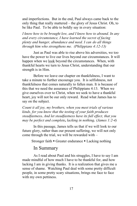and imperfections. But in the end, Paul always came back to the only thing that really mattered – the glory of Jesus Christ. Oh, to be like Paul. To be able to boldly say in every situation:

*I know how to be brought low, and I know how to abound. In any and every circumstance, I have learned the secret of facing plenty and hunger, abundance and need. I can do all things through him who strengthens me. (Philippians 4:12-13)*

Just as Paul was able to rise above his adversities, we too have the power to live our lives beyond our circumstances. It will happen when we look beyond the circumstances. When, with thankful hearts we turn to Jesus Christ, understanding that our strength is in Him.

Before we leave our chapter on thankfulness, I want to take a minute to further encourage you. It is selfishness, not thankfulness that comes naturally to fallen man. It is because of this that we need the assurance of Philippians 4:13. When we give ourselves over to Christ, when we seek to have a thankful heart, joy will not be our only reward. Read what James has to say on the subject.

*Count it all joy, my brothers, when you meet trials of various kinds, for you know that the testing of your faith produces steadfastness. And let steadfastness have its full effect, that you may be perfect and complete, lacking in nothing. (James 1:2-4)*

In this passage, James tells us that if we will look to our future glory, rather than our present suffering, we will not only come through the trial, we will be rewarded with –

Stronger faith ▪ Greater endurance ▪ Lacking nothing

#### In Summary

As I read about Paul and his struggles, I have to say I am made mindful of how much I have to be thankful for, and how lacking I am in giving thanks. It is a realization that gives me a sense of shame. Watching Paul deal with some pretty difficult people, in some pretty scary situations, brings me face to face with my own pettiness.